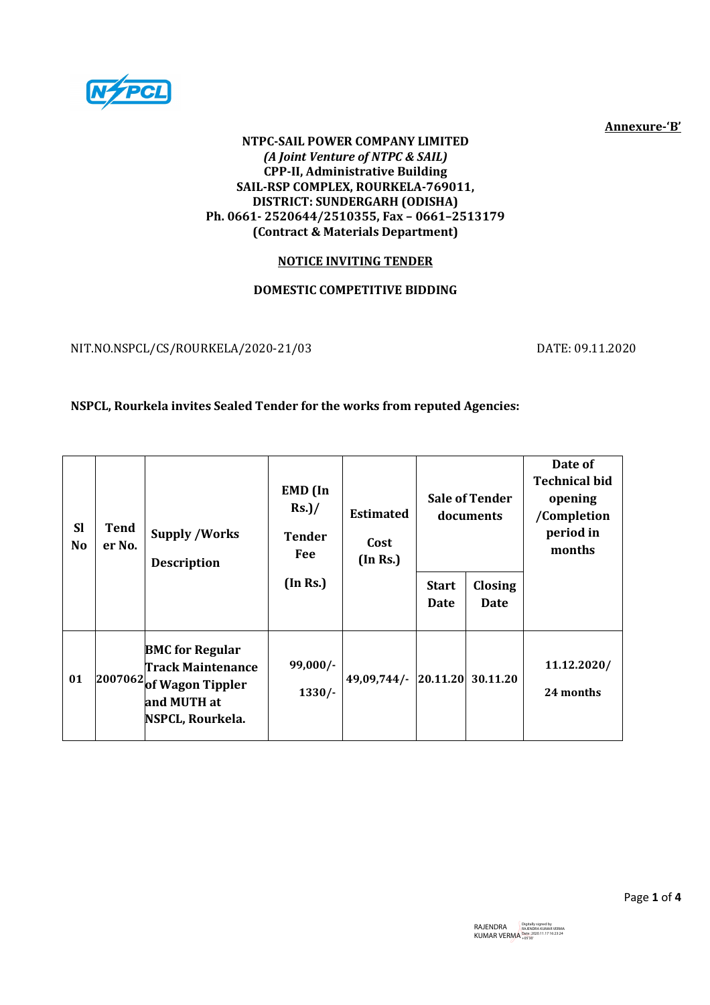

Annexure-'B'

#### NTPC-SAIL POWER COMPANY LIMITED (A Joint Venture of NTPC & SAIL) CPP-II, Administrative Building SAIL-RSP COMPLEX, ROURKELA-769011, DISTRICT: SUNDERGARH (ODISHA) Ph. 0661- 2520644/2510355, Fax – 0661–2513179 (Contract & Materials Department)

# NOTICE INVITING TENDER

# DOMESTIC COMPETITIVE BIDDING

NIT.NO.NSPCL/CS/ROURKELA/2020-21/03 DATE: 09.11.2020

# NSPCL, Rourkela invites Sealed Tender for the works from reputed Agencies:

| <b>Sl</b><br><b>No</b> | Tend<br>er No. | <b>Supply /Works</b><br><b>Description</b>                                                                                                | <b>EMD</b> (In<br>$Rs.$ )/<br><b>Tender</b><br>Fee<br>(In Rs.) | <b>Estimated</b><br>Cost<br>(In Rs.) | <b>Start</b><br><b>Date</b> | <b>Sale of Tender</b><br>documents<br>Closing<br>Date | Date of<br><b>Technical bid</b><br>opening<br>/Completion<br>period in<br>months |
|------------------------|----------------|-------------------------------------------------------------------------------------------------------------------------------------------|----------------------------------------------------------------|--------------------------------------|-----------------------------|-------------------------------------------------------|----------------------------------------------------------------------------------|
| 01                     |                | <b>BMC</b> for Regular<br><b>Track Maintenance</b><br>$\left  \frac{2007062}{6} \right $ Wagon Tippler<br>and MUTH at<br>NSPCL, Rourkela. | 99,000/-<br>$1330/-$                                           | $49,09,744/$ - 20.11.20              |                             | 30.11.20                                              | 11.12.2020/<br>24 months                                                         |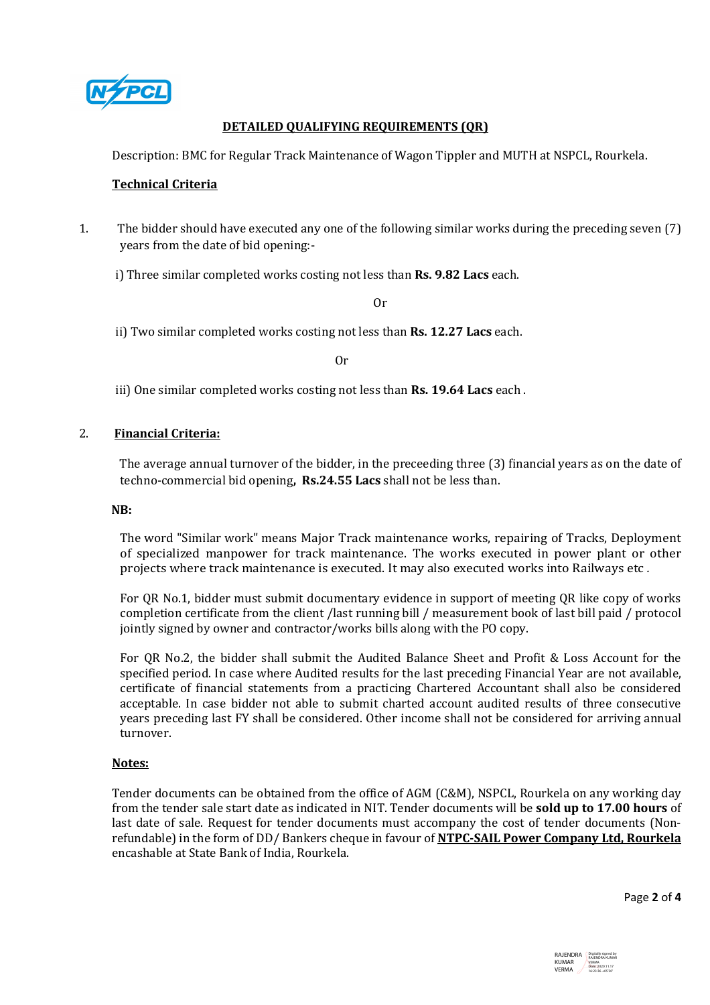

## DETAILED QUALIFYING REQUIREMENTS (QR)

Description: BMC for Regular Track Maintenance of Wagon Tippler and MUTH at NSPCL, Rourkela.

### Technical Criteria

1. The bidder should have executed any one of the following similar works during the preceding seven (7) years from the date of bid opening:-

i) Three similar completed works costing not less than Rs. 9.82 Lacs each.

Or

ii) Two similar completed works costing not less than Rs. 12.27 Lacs each.

Or

iii) One similar completed works costing not less than **Rs. 19.64 Lacs** each.

### 2. Financial Criteria:

 The average annual turnover of the bidder, in the preceeding three (3) financial years as on the date of techno-commercial bid opening, Rs.24.55 Lacs shall not be less than.

#### NB:

The word "Similar work" means Major Track maintenance works, repairing of Tracks, Deployment of specialized manpower for track maintenance. The works executed in power plant or other projects where track maintenance is executed. It may also executed works into Railways etc .

For QR No.1, bidder must submit documentary evidence in support of meeting QR like copy of works completion certificate from the client /last running bill / measurement book of last bill paid / protocol jointly signed by owner and contractor/works bills along with the PO copy.

For QR No.2, the bidder shall submit the Audited Balance Sheet and Profit & Loss Account for the specified period. In case where Audited results for the last preceding Financial Year are not available, certificate of financial statements from a practicing Chartered Accountant shall also be considered acceptable. In case bidder not able to submit charted account audited results of three consecutive years preceding last FY shall be considered. Other income shall not be considered for arriving annual turnover.

#### Notes:

Tender documents can be obtained from the office of AGM (C&M), NSPCL, Rourkela on any working day from the tender sale start date as indicated in NIT. Tender documents will be sold up to 17.00 hours of last date of sale. Request for tender documents must accompany the cost of tender documents (Nonrefundable) in the form of DD/ Bankers cheque in favour of NTPC-SAIL Power Company Ltd, Rourkela encashable at State Bank of India, Rourkela.

Page 2 of 4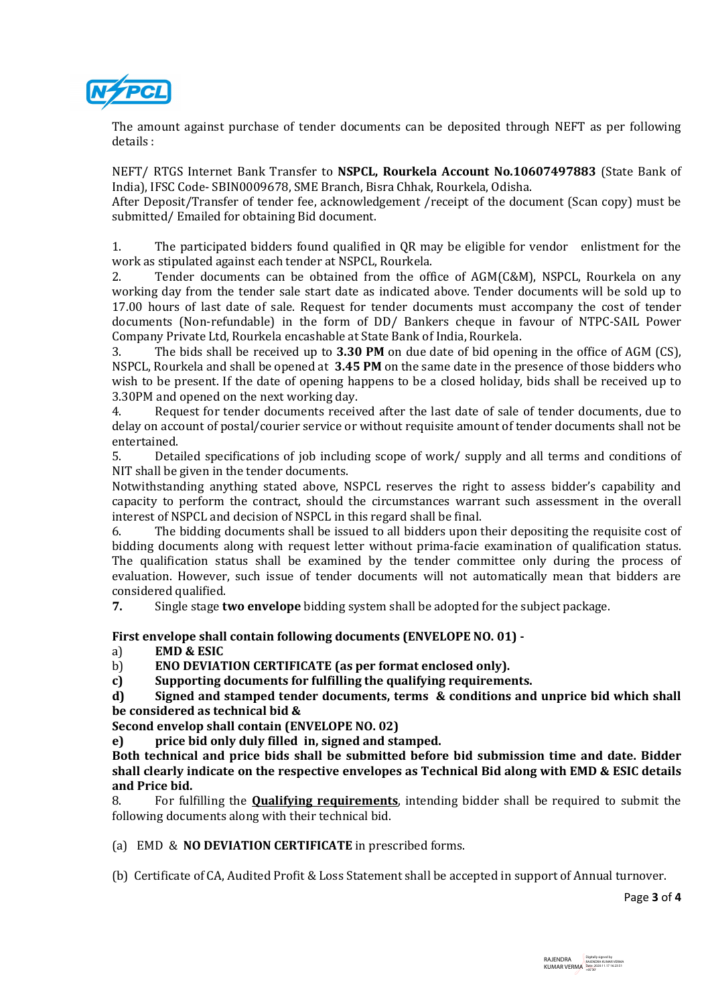

The amount against purchase of tender documents can be deposited through NEFT as per following details :

NEFT/ RTGS Internet Bank Transfer to NSPCL, Rourkela Account No.10607497883 (State Bank of India), IFSC Code- SBIN0009678, SME Branch, Bisra Chhak, Rourkela, Odisha.

After Deposit/Transfer of tender fee, acknowledgement /receipt of the document (Scan copy) must be submitted/ Emailed for obtaining Bid document.

1. The participated bidders found qualified in QR may be eligible for vendor enlistment for the work as stipulated against each tender at NSPCL, Rourkela.

2. Tender documents can be obtained from the office of AGM(C&M), NSPCL, Rourkela on any working day from the tender sale start date as indicated above. Tender documents will be sold up to 17.00 hours of last date of sale. Request for tender documents must accompany the cost of tender documents (Non-refundable) in the form of DD/ Bankers cheque in favour of NTPC-SAIL Power Company Private Ltd, Rourkela encashable at State Bank of India, Rourkela.

3. The bids shall be received up to 3.30 PM on due date of bid opening in the office of AGM (CS), NSPCL, Rourkela and shall be opened at 3.45 PM on the same date in the presence of those bidders who wish to be present. If the date of opening happens to be a closed holiday, bids shall be received up to 3.30PM and opened on the next working day.

4. Request for tender documents received after the last date of sale of tender documents, due to delay on account of postal/courier service or without requisite amount of tender documents shall not be entertained.

5. Detailed specifications of job including scope of work/ supply and all terms and conditions of NIT shall be given in the tender documents.

Notwithstanding anything stated above, NSPCL reserves the right to assess bidder's capability and capacity to perform the contract, should the circumstances warrant such assessment in the overall interest of NSPCL and decision of NSPCL in this regard shall be final.

6. The bidding documents shall be issued to all bidders upon their depositing the requisite cost of bidding documents along with request letter without prima-facie examination of qualification status. The qualification status shall be examined by the tender committee only during the process of evaluation. However, such issue of tender documents will not automatically mean that bidders are considered qualified.

7. Single stage two envelope bidding system shall be adopted for the subject package.

First envelope shall contain following documents (ENVELOPE NO. 01) -

a) EMD & ESIC

b) ENO DEVIATION CERTIFICATE (as per format enclosed only).

c) Supporting documents for fulfilling the qualifying requirements.

d) Signed and stamped tender documents, terms & conditions and unprice bid which shall be considered as technical bid &

Second envelop shall contain (ENVELOPE NO. 02)

e) price bid only duly filled in, signed and stamped.

Both technical and price bids shall be submitted before bid submission time and date. Bidder shall clearly indicate on the respective envelopes as Technical Bid along with EMD & ESIC details and Price bid.

8. For fulfilling the **Qualifying requirements**, intending bidder shall be required to submit the following documents along with their technical bid.

(a) EMD & NO DEVIATION CERTIFICATE in prescribed forms.

(b) Certificate of CA, Audited Profit & Loss Statement shall be accepted in support of Annual turnover.

Page 3 of 4